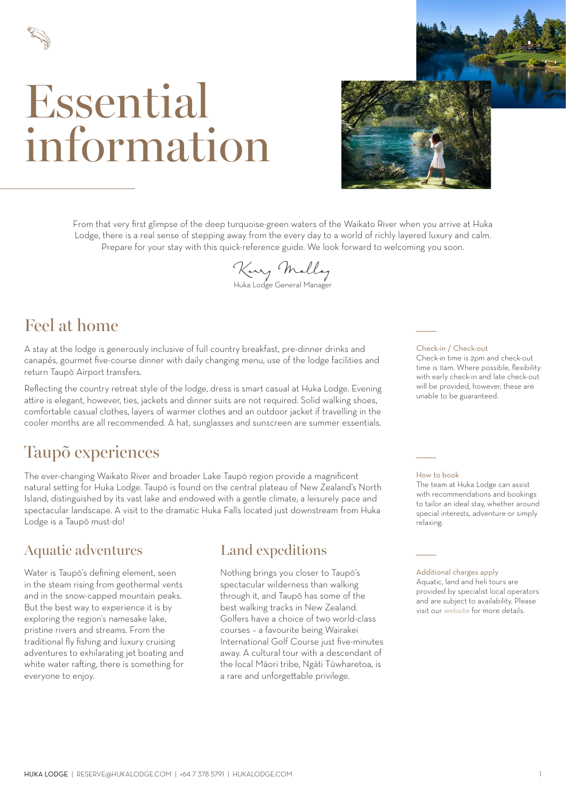

# Essential information



From that very first glimpse of the deep turquoise-green waters of the Waikato River when you arrive at Huka Lodge, there is a real sense of stepping away from the every day to a world of richly layered luxury and calm. Prepare for your stay with this quick-reference guide. We look forward to welcoming you soon.

**Kerry Molloy**

### Huka Lodge General Manager

## Feel at home

A stay at the lodge is generously inclusive of full country breakfast, pre-dinner drinks and canapés, gourmet five-course dinner with daily changing menu, use of the lodge facilities and return Taupō Airport transfers.

Reflecting the country retreat style of the lodge, dress is smart casual at Huka Lodge. Evening attire is elegant, however, ties, jackets and dinner suits are not required. Solid walking shoes, comfortable casual clothes, layers of warmer clothes and an outdoor jacket if travelling in the cooler months are all recommended. A hat, sunglasses and sunscreen are summer essentials.

## Taupõ experiences

The ever-changing Waikato River and broader Lake Taupō region provide a magnificent natural setting for Huka Lodge. Taupō is found on the central plateau of New Zealand's North Island, distinguished by its vast lake and endowed with a gentle climate, a leisurely pace and spectacular landscape. A visit to the dramatic Huka Falls located just downstream from Huka Lodge is a Taupō must-do!

### Aquatic adventures Land expeditions

Water is Taupō's defining element, seen in the steam rising from geothermal vents and in the snow-capped mountain peaks. But the best way to experience it is by exploring the region's namesake lake, pristine rivers and streams. From the traditional fly fishing and luxury cruising adventures to exhilarating jet boating and white water rafting, there is something for everyone to enjoy.

Nothing brings you closer to Taupō's spectacular wilderness than walking through it, and Taupō has some of the best walking tracks in New Zealand. Golfers have a choice of two world-class courses – a favourite being Wairakei International Golf Course just five-minutes away. A cultural tour with a descendant of the local Māori tribe, Ngāti Tūwharetoa, is a rare and unforgettable privilege.

#### Check-in / Check-out

Check-in time is 2pm and check-out time is 11am. Where possible, flexibility with early check-in and late check-out will be provided, however, these are unable to be guaranteed.

#### How to book

The team at Huka Lodge can assist with recommendations and bookings to tailor an ideal stay, whether around special interests, adventure or simply relaxing.

#### Additional charges apply

Aquatic, land and heli tours are provided by specialist local operators and are subject to availability. Please visit our [website](https://hukalodge.com/experience/) for more details.